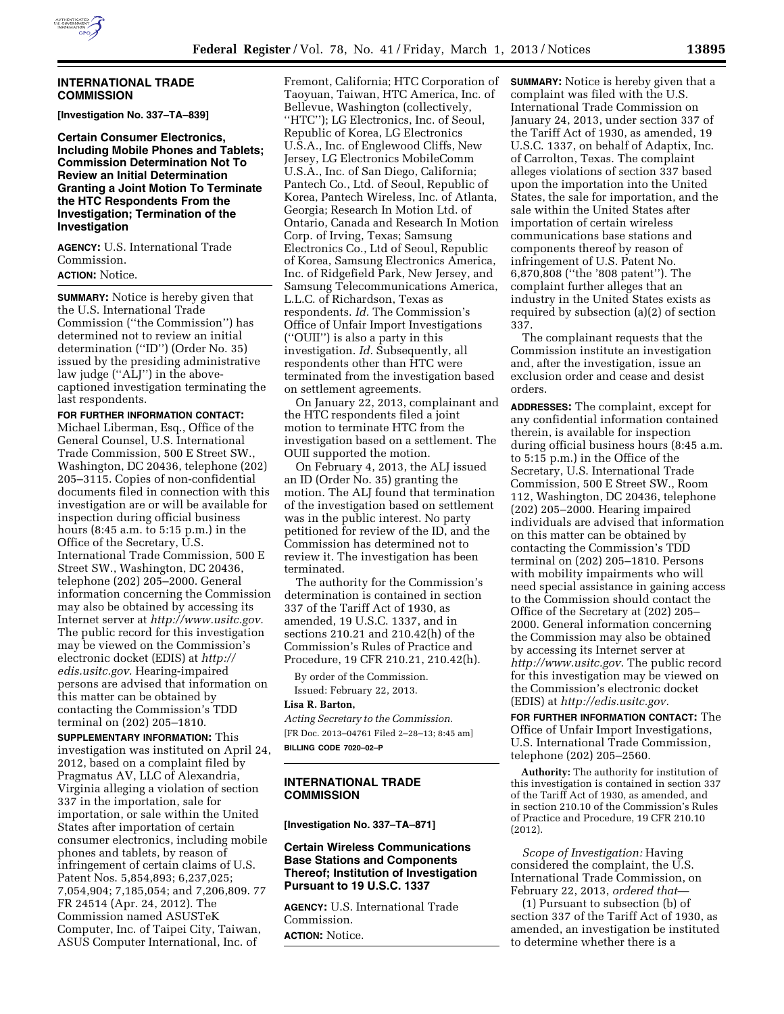# **INTERNATIONAL TRADE COMMISSION**

**[Investigation No. 337–TA–839]** 

**Certain Consumer Electronics, Including Mobile Phones and Tablets; Commission Determination Not To Review an Initial Determination Granting a Joint Motion To Terminate the HTC Respondents From the Investigation; Termination of the Investigation** 

**AGENCY:** U.S. International Trade Commission.

# **ACTION:** Notice.

**SUMMARY:** Notice is hereby given that the U.S. International Trade Commission (''the Commission'') has determined not to review an initial determination (''ID'') (Order No. 35) issued by the presiding administrative law judge (''ALJ'') in the abovecaptioned investigation terminating the last respondents.

## **FOR FURTHER INFORMATION CONTACT:**

Michael Liberman, Esq., Office of the General Counsel, U.S. International Trade Commission, 500 E Street SW., Washington, DC 20436, telephone (202) 205–3115. Copies of non-confidential documents filed in connection with this investigation are or will be available for inspection during official business hours (8:45 a.m. to 5:15 p.m.) in the Office of the Secretary, U.S. International Trade Commission, 500 E Street SW., Washington, DC 20436, telephone (202) 205–2000. General information concerning the Commission may also be obtained by accessing its Internet server at *[http://www.usitc.gov.](http://www.usitc.gov)*  The public record for this investigation may be viewed on the Commission's electronic docket (EDIS) at *[http://](http://edis.usitc.gov)  [edis.usitc.gov.](http://edis.usitc.gov)* Hearing-impaired persons are advised that information on this matter can be obtained by contacting the Commission's TDD terminal on (202) 205–1810.

**SUPPLEMENTARY INFORMATION:** This investigation was instituted on April 24, 2012, based on a complaint filed by Pragmatus AV, LLC of Alexandria, Virginia alleging a violation of section 337 in the importation, sale for importation, or sale within the United States after importation of certain consumer electronics, including mobile phones and tablets, by reason of infringement of certain claims of U.S. Patent Nos. 5,854,893; 6,237,025; 7,054,904; 7,185,054; and 7,206,809. 77 FR 24514 (Apr. 24, 2012). The Commission named ASUSTeK Computer, Inc. of Taipei City, Taiwan, ASUS Computer International, Inc. of

Fremont, California; HTC Corporation of Taoyuan, Taiwan, HTC America, Inc. of Bellevue, Washington (collectively, ''HTC''); LG Electronics, Inc. of Seoul, Republic of Korea, LG Electronics U.S.A., Inc. of Englewood Cliffs, New Jersey, LG Electronics MobileComm U.S.A., Inc. of San Diego, California; Pantech Co., Ltd. of Seoul, Republic of Korea, Pantech Wireless, Inc. of Atlanta, Georgia; Research In Motion Ltd. of Ontario, Canada and Research In Motion Corp. of Irving, Texas; Samsung Electronics Co., Ltd of Seoul, Republic of Korea, Samsung Electronics America, Inc. of Ridgefield Park, New Jersey, and Samsung Telecommunications America, L.L.C. of Richardson, Texas as respondents. *Id.* The Commission's Office of Unfair Import Investigations (''OUII'') is also a party in this investigation. *Id.* Subsequently, all respondents other than HTC were terminated from the investigation based on settlement agreements.

On January 22, 2013, complainant and the HTC respondents filed a joint motion to terminate HTC from the investigation based on a settlement. The OUII supported the motion.

On February 4, 2013, the ALJ issued an ID (Order No. 35) granting the motion. The ALJ found that termination of the investigation based on settlement was in the public interest. No party petitioned for review of the ID, and the Commission has determined not to review it. The investigation has been terminated.

The authority for the Commission's determination is contained in section 337 of the Tariff Act of 1930, as amended, 19 U.S.C. 1337, and in sections 210.21 and 210.42(h) of the Commission's Rules of Practice and Procedure, 19 CFR 210.21, 210.42(h).

By order of the Commission. Issued: February 22, 2013.

#### **Lisa R. Barton,**

*Acting Secretary to the Commission.*  [FR Doc. 2013–04761 Filed 2–28–13; 8:45 am] **BILLING CODE 7020–02–P** 

# **INTERNATIONAL TRADE COMMISSION**

**[Investigation No. 337–TA–871]** 

# **Certain Wireless Communications Base Stations and Components Thereof; Institution of Investigation Pursuant to 19 U.S.C. 1337**

**AGENCY:** U.S. International Trade Commission. **ACTION:** Notice.

**SUMMARY:** Notice is hereby given that a complaint was filed with the U.S. International Trade Commission on January 24, 2013, under section 337 of the Tariff Act of 1930, as amended, 19 U.S.C. 1337, on behalf of Adaptix, Inc. of Carrolton, Texas. The complaint alleges violations of section 337 based upon the importation into the United States, the sale for importation, and the sale within the United States after importation of certain wireless communications base stations and components thereof by reason of infringement of U.S. Patent No. 6,870,808 (''the '808 patent''). The complaint further alleges that an industry in the United States exists as required by subsection (a)(2) of section 337.

The complainant requests that the Commission institute an investigation and, after the investigation, issue an exclusion order and cease and desist orders.

**ADDRESSES:** The complaint, except for any confidential information contained therein, is available for inspection during official business hours (8:45 a.m. to 5:15 p.m.) in the Office of the Secretary, U.S. International Trade Commission, 500 E Street SW., Room 112, Washington, DC 20436, telephone (202) 205–2000. Hearing impaired individuals are advised that information on this matter can be obtained by contacting the Commission's TDD terminal on (202) 205–1810. Persons with mobility impairments who will need special assistance in gaining access to the Commission should contact the Office of the Secretary at (202) 205– 2000. General information concerning the Commission may also be obtained by accessing its Internet server at *<http://www.usitc.gov>*. The public record for this investigation may be viewed on the Commission's electronic docket (EDIS) at *[http://edis.usitc.gov.](http://edis.usitc.gov)* 

**FOR FURTHER INFORMATION CONTACT:** The Office of Unfair Import Investigations, U.S. International Trade Commission, telephone (202) 205–2560.

**Authority:** The authority for institution of this investigation is contained in section 337 of the Tariff Act of 1930, as amended, and in section 210.10 of the Commission's Rules of Practice and Procedure, 19 CFR 210.10 (2012).

*Scope of Investigation:* Having considered the complaint, the U.S. International Trade Commission, on February 22, 2013, *ordered that*—

(1) Pursuant to subsection (b) of section 337 of the Tariff Act of 1930, as amended, an investigation be instituted to determine whether there is a